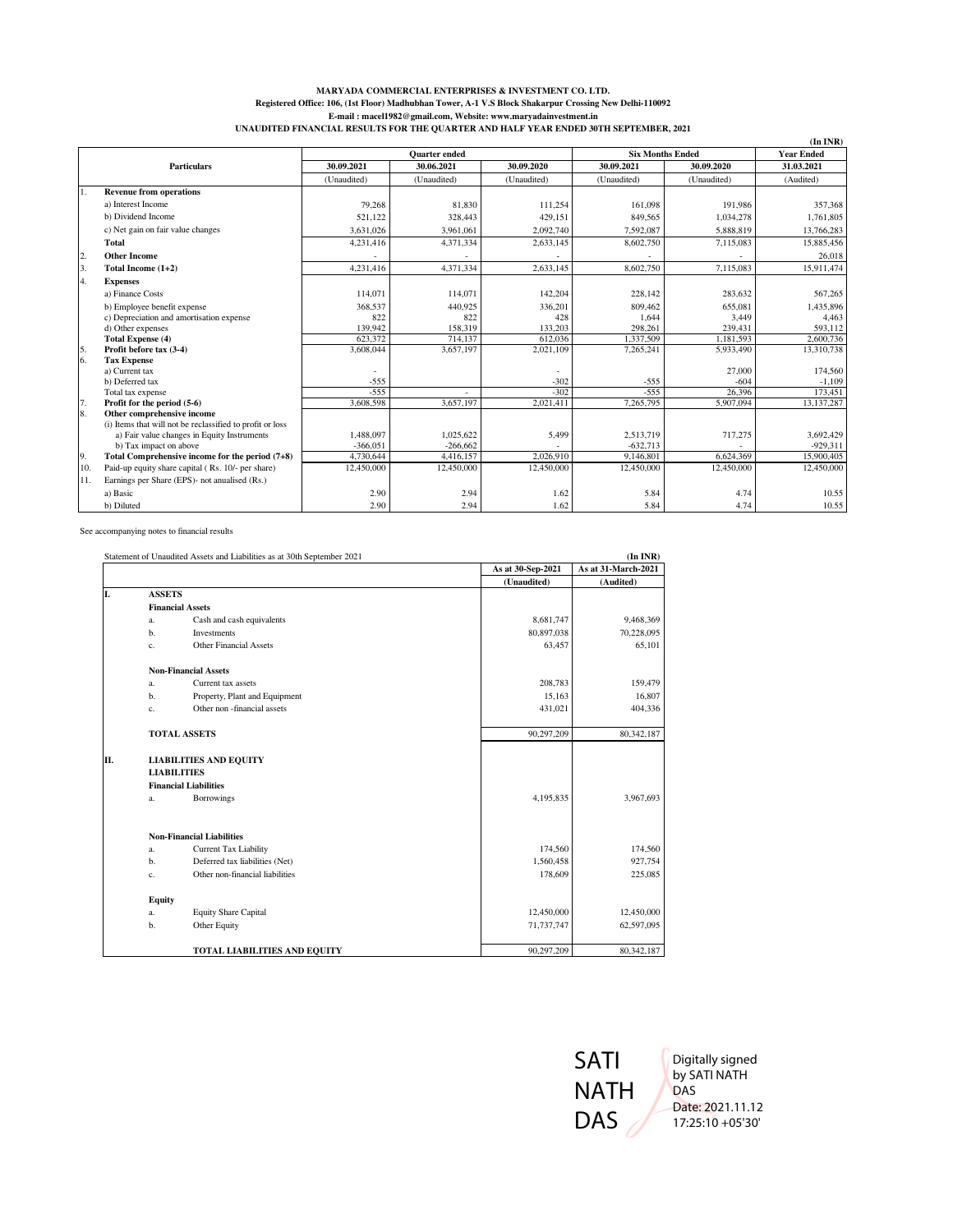## **MARYADA COMMERCIAL ENTERPRISES & INVESTMENT CO. LTD. Registered Office: 106, (1st Floor) Madhubhan Tower, A-1 V.S Block Shakarpur Crossing New Delhi-110092 E-mail : macel1982@gmail.com, Website: www.maryadainvestment.in UNAUDITED FINANCIAL RESULTS FOR THE QUARTER AND HALF YEAR ENDED 30TH SEPTEMBER, 2021**

|                |                                                           |                      |             |             |                         |             | $(In$ INR)        |
|----------------|-----------------------------------------------------------|----------------------|-------------|-------------|-------------------------|-------------|-------------------|
|                |                                                           | <b>Ouarter</b> ended |             |             | <b>Six Months Ended</b> |             | <b>Year Ended</b> |
|                | <b>Particulars</b>                                        | 30.09.2021           | 30.06.2021  | 30.09.2020  | 30.09.2021              | 30.09.2020  | 31.03.2021        |
|                |                                                           | (Unaudited)          | (Unaudited) | (Unaudited) | (Unaudited)             | (Unaudited) | (Audited)         |
| 1.             | <b>Revenue from operations</b>                            |                      |             |             |                         |             |                   |
|                | a) Interest Income                                        | 79.268               | 81.830      | 111.254     | 161,098                 | 191.986     | 357,368           |
|                | b) Dividend Income                                        | 521,122              | 328,443     | 429.151     | 849,565                 | 1.034.278   | 1,761,805         |
|                | c) Net gain on fair value changes                         | 3.631.026            | 3.961.061   | 2.092.740   | 7,592,087               | 5,888,819   | 13,766,283        |
|                | <b>Total</b>                                              | 4,231,416            | 4,371,334   | 2,633,145   | 8,602,750               | 7,115,083   | 15,885,456        |
| $\overline{2}$ | <b>Other Income</b>                                       |                      |             |             |                         |             | 26,018            |
| 3.             | Total Income (1+2)                                        | 4.231.416            | 4.371.334   | 2.633.145   | 8,602,750               | 7.115.083   | 15.911.474        |
| 4.             | <b>Expenses</b>                                           |                      |             |             |                         |             |                   |
|                | a) Finance Costs                                          | 114,071              | 114,071     | 142,204     | 228,142                 | 283,632     | 567.265           |
|                | b) Employee benefit expense                               | 368,537              | 440.925     | 336,201     | 809,462                 | 655.081     | 1,435,896         |
|                | c) Depreciation and amortisation expense                  | 822                  | 822         | 428         | 1,644                   | 3,449       | 4.463             |
|                | d) Other expenses                                         | 139,942              | 158,319     | 133,203     | 298,261                 | 239,431     | 593,112           |
|                | <b>Total Expense (4)</b>                                  | 623.372              | 714.137     | 612.036     | 1,337,509               | 1.181.593   | 2,600,736         |
| $\frac{5}{6}$  | Profit before tax (3-4)                                   | 3,608,044            | 3,657,197   | 2,021,109   | 7,265,241               | 5,933,490   | 13,310,738        |
|                | <b>Tax Expense</b>                                        |                      |             |             |                         |             |                   |
|                | a) Current tax                                            |                      |             |             |                         | 27,000      | 174,560           |
|                | b) Deferred tax                                           | $-555$               |             | $-302$      | $-555$                  | $-604$      | $-1,109$          |
|                | Total tax expense                                         | $-555$               |             | $-302$      | $-555$                  | 26.396      | 173,451           |
| 17.            | Profit for the period (5-6)                               | 3,608,598            | 3,657,197   | 2,021,411   | 7,265,795               | 5,907,094   | 13,137,287        |
| 8.             | Other comprehensive income                                |                      |             |             |                         |             |                   |
|                | (i) Items that will not be reclassified to profit or loss |                      |             |             |                         |             |                   |
|                | a) Fair value changes in Equity Instruments               | 1.488.097            | 1.025.622   | 5,499       | 2.513.719               | 717,275     | 3.692.429         |
|                | b) Tax impact on above                                    | $-366.051$           | $-266,662$  |             | $-632,713$              |             | $-929,311$        |
| 9.             | Total Comprehensive income for the period (7+8)           | 4,730,644            | 4,416,157   | 2.026.910   | 9,146,801               | 6,624,369   | 15,900,405        |
| 10.            | Paid-up equity share capital (Rs. 10/- per share)         | 12,450,000           | 12,450,000  | 12,450,000  | 12,450,000              | 12,450,000  | 12,450,000        |
| 11.            | Earnings per Share (EPS)- not anualised (Rs.)             |                      |             |             |                         |             |                   |
|                | a) Basic                                                  | 2.90                 | 2.94        | 1.62        | 5.84                    | 4.74        | 10.55             |
|                | b) Diluted                                                | 2.90                 | 2.94        | 1.62        | 5.84                    | 4.74        | 10.55             |

See accompanying notes to financial results

|    |                              | Statement of Unaudited Assets and Liabilities as at 30th September 2021 |                   | $(In\,INR)$         |
|----|------------------------------|-------------------------------------------------------------------------|-------------------|---------------------|
|    |                              |                                                                         | As at 30-Sep-2021 | As at 31-March-2021 |
|    |                              |                                                                         | (Unaudited)       | (Audited)           |
| I. | <b>ASSETS</b>                |                                                                         |                   |                     |
|    |                              | <b>Financial Assets</b>                                                 |                   |                     |
|    | a.                           | Cash and cash equivalents                                               | 8,681,747         | 9,468,369           |
|    | b.                           | Investments                                                             | 80,897,038        | 70,228,095          |
|    | c.                           | <b>Other Financial Assets</b>                                           | 63,457            | 65,101              |
|    |                              | <b>Non-Financial Assets</b>                                             |                   |                     |
|    | a.                           | Current tax assets                                                      | 208,783           | 159,479             |
|    | b.                           | Property, Plant and Equipment                                           | 15,163            | 16,807              |
|    | c.                           | Other non-financial assets                                              | 431,021           | 404,336             |
|    |                              | <b>TOTAL ASSETS</b>                                                     | 90,297,209        | 80,342,187          |
| Π. |                              | <b>LIABILITIES AND EQUITY</b>                                           |                   |                     |
|    | <b>LIABILITIES</b>           |                                                                         |                   |                     |
|    | <b>Financial Liabilities</b> |                                                                         |                   |                     |
|    | a.                           | Borrowings                                                              | 4,195,835         | 3,967,693           |
|    |                              | <b>Non-Financial Liabilities</b>                                        |                   |                     |
|    | a.                           | Current Tax Liability                                                   | 174,560           | 174,560             |
|    | b.                           | Deferred tax liabilities (Net)                                          | 1,560,458         | 927,754             |
|    | c.                           | Other non-financial liabilities                                         | 178,609           | 225,085             |
|    | <b>Equity</b>                |                                                                         |                   |                     |
|    | a.                           | <b>Equity Share Capital</b>                                             | 12,450,000        | 12,450,000          |
|    | b.                           | Other Equity                                                            | 71,737,747        | 62,597,095          |
|    |                              | <b>TOTAL LIABILITIES AND EQUITY</b>                                     | 90,297,209        | 80,342,187          |

SATI NATH DAS

Digitally signed by SATI NATH DAS Date: 2021.11.12 17:25:10 +05'30'